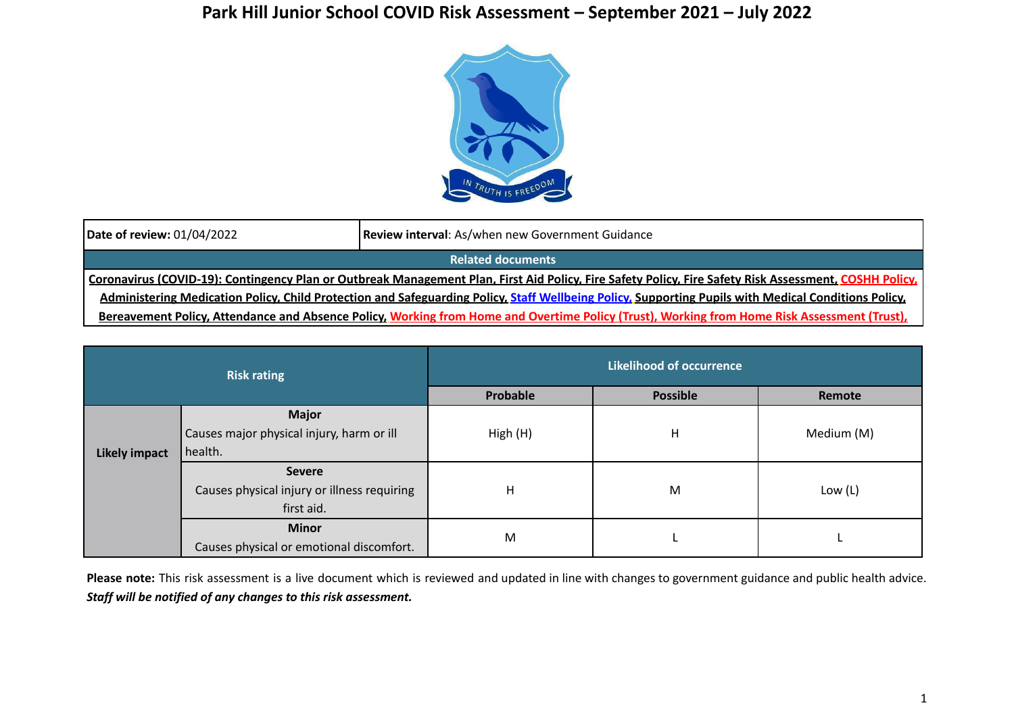## **Park Hill Junior School COVID Risk Assessment – September 2021 – July 2022**



| Date of review: 01/04/2022                                                                                                                             | <b>Review interval:</b> As/when new Government Guidance |  |  |  |  |
|--------------------------------------------------------------------------------------------------------------------------------------------------------|---------------------------------------------------------|--|--|--|--|
| <b>Related documents</b>                                                                                                                               |                                                         |  |  |  |  |
| Coronavirus (COVID-19): Contingency Plan or Outbreak Management Plan, First Aid Policy, Fire Safety Policy, Fire Safety Risk Assessment, COSHH Policy, |                                                         |  |  |  |  |
| Administering Medication Policy, Child Protection and Safeguarding Policy, Staff Wellbeing Policy, Supporting Pupils with Medical Conditions Policy.   |                                                         |  |  |  |  |
| Bereavement Policy, Attendance and Absence Policy, Working from Home and Overtime Policy (Trust), Working from Home Risk Assessment (Trust),           |                                                         |  |  |  |  |

| <b>Risk rating</b>   |                                             | <b>Likelihood of occurrence</b> |                 |            |  |
|----------------------|---------------------------------------------|---------------------------------|-----------------|------------|--|
|                      |                                             | Probable                        | <b>Possible</b> | Remote     |  |
|                      | <b>Major</b>                                |                                 |                 |            |  |
|                      | Causes major physical injury, harm or ill   | High (H)                        | Η               | Medium (M) |  |
| <b>Likely impact</b> | health.                                     |                                 |                 |            |  |
|                      | <b>Severe</b>                               |                                 |                 |            |  |
|                      | Causes physical injury or illness requiring | н                               | M               | Low $(L)$  |  |
|                      | first aid.                                  |                                 |                 |            |  |
|                      | <b>Minor</b>                                |                                 |                 |            |  |
|                      | Causes physical or emotional discomfort.    | M                               |                 |            |  |

**Please note:** This risk assessment is a live document which is reviewed and updated in line with changes to government guidance and public health advice. *Staff will be notified of any changes to this risk assessment.*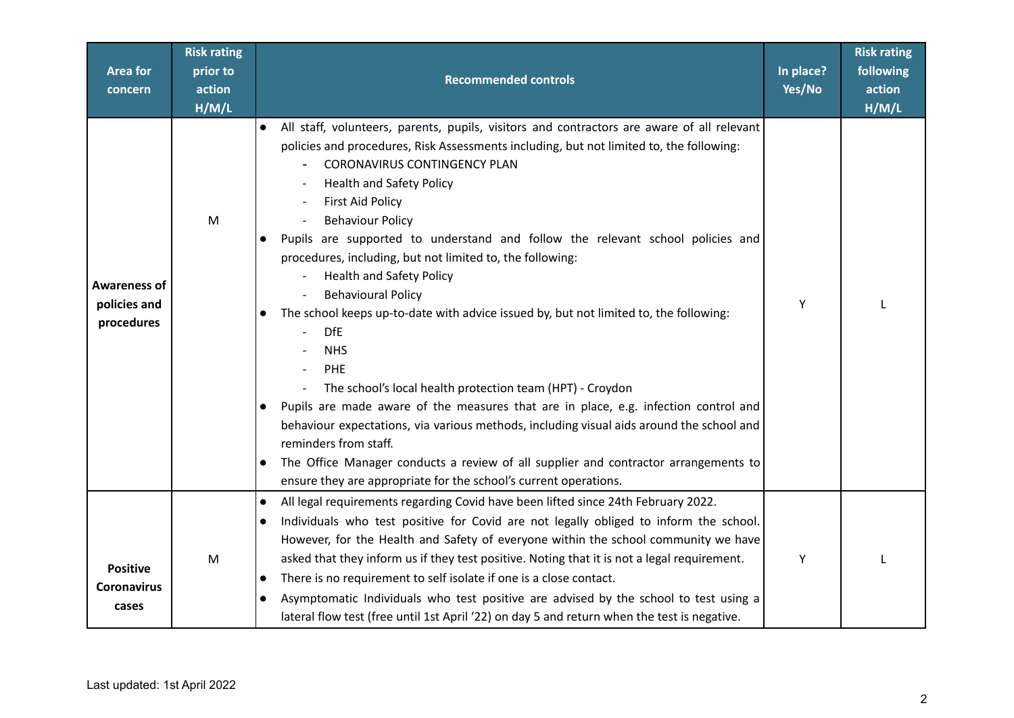| <b>Area for</b><br>concern                        | <b>Risk rating</b><br>prior to<br>action<br>H/M/L | <b>Recommended controls</b>                                                                                                                                                                                                                                                                                                                                                                                                                                                                                                                                                                                                                                                                                                                                                                                                                                                                                                                                                                                                                                                                                                                                                                       | In place?<br>Yes/No | <b>Risk rating</b><br>following<br>action<br>H/M/L |
|---------------------------------------------------|---------------------------------------------------|---------------------------------------------------------------------------------------------------------------------------------------------------------------------------------------------------------------------------------------------------------------------------------------------------------------------------------------------------------------------------------------------------------------------------------------------------------------------------------------------------------------------------------------------------------------------------------------------------------------------------------------------------------------------------------------------------------------------------------------------------------------------------------------------------------------------------------------------------------------------------------------------------------------------------------------------------------------------------------------------------------------------------------------------------------------------------------------------------------------------------------------------------------------------------------------------------|---------------------|----------------------------------------------------|
| <b>Awareness of</b><br>policies and<br>procedures | ${\sf M}$                                         | All staff, volunteers, parents, pupils, visitors and contractors are aware of all relevant<br>$\bullet$<br>policies and procedures, Risk Assessments including, but not limited to, the following:<br><b>CORONAVIRUS CONTINGENCY PLAN</b><br><b>Health and Safety Policy</b><br><b>First Aid Policy</b><br><b>Behaviour Policy</b><br>Pupils are supported to understand and follow the relevant school policies and<br>$\bullet$<br>procedures, including, but not limited to, the following:<br><b>Health and Safety Policy</b><br><b>Behavioural Policy</b><br>The school keeps up-to-date with advice issued by, but not limited to, the following:<br>$\bullet$<br><b>DfE</b><br><b>NHS</b><br>PHE<br>The school's local health protection team (HPT) - Croydon<br>$\overline{\phantom{a}}$<br>Pupils are made aware of the measures that are in place, e.g. infection control and<br>$\bullet$<br>behaviour expectations, via various methods, including visual aids around the school and<br>reminders from staff.<br>The Office Manager conducts a review of all supplier and contractor arrangements to<br>$\bullet$<br>ensure they are appropriate for the school's current operations. | Y                   |                                                    |
| <b>Positive</b><br><b>Coronavirus</b><br>cases    | M                                                 | All legal requirements regarding Covid have been lifted since 24th February 2022.<br>$\bullet$<br>Individuals who test positive for Covid are not legally obliged to inform the school.<br>$\bullet$<br>However, for the Health and Safety of everyone within the school community we have<br>asked that they inform us if they test positive. Noting that it is not a legal requirement.<br>There is no requirement to self isolate if one is a close contact.<br>$\bullet$<br>Asymptomatic Individuals who test positive are advised by the school to test using a<br>$\bullet$<br>lateral flow test (free until 1st April '22) on day 5 and return when the test is negative.                                                                                                                                                                                                                                                                                                                                                                                                                                                                                                                  | Y                   |                                                    |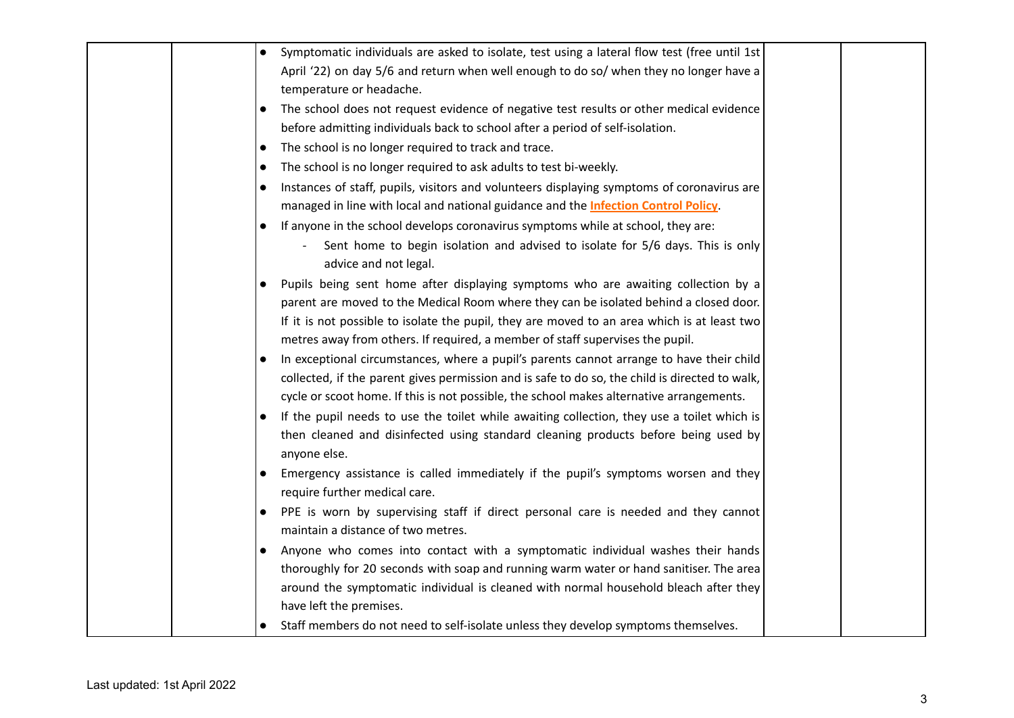|  | Symptomatic individuals are asked to isolate, test using a lateral flow test (free until 1st         |  |
|--|------------------------------------------------------------------------------------------------------|--|
|  | April '22) on day 5/6 and return when well enough to do so/ when they no longer have a               |  |
|  | temperature or headache.                                                                             |  |
|  | The school does not request evidence of negative test results or other medical evidence<br>$\bullet$ |  |
|  | before admitting individuals back to school after a period of self-isolation.                        |  |
|  | The school is no longer required to track and trace.<br>$\bullet$                                    |  |
|  | The school is no longer required to ask adults to test bi-weekly.<br>$\bullet$                       |  |
|  | Instances of staff, pupils, visitors and volunteers displaying symptoms of coronavirus are           |  |
|  | managed in line with local and national guidance and the <b>Infection Control Policy</b> .           |  |
|  | If anyone in the school develops coronavirus symptoms while at school, they are:                     |  |
|  | Sent home to begin isolation and advised to isolate for 5/6 days. This is only                       |  |
|  | advice and not legal.                                                                                |  |
|  | Pupils being sent home after displaying symptoms who are awaiting collection by a                    |  |
|  | parent are moved to the Medical Room where they can be isolated behind a closed door.                |  |
|  | If it is not possible to isolate the pupil, they are moved to an area which is at least two          |  |
|  | metres away from others. If required, a member of staff supervises the pupil.                        |  |
|  | In exceptional circumstances, where a pupil's parents cannot arrange to have their child             |  |
|  | collected, if the parent gives permission and is safe to do so, the child is directed to walk,       |  |
|  | cycle or scoot home. If this is not possible, the school makes alternative arrangements.             |  |
|  | If the pupil needs to use the toilet while awaiting collection, they use a toilet which is           |  |
|  | then cleaned and disinfected using standard cleaning products before being used by                   |  |
|  | anyone else.                                                                                         |  |
|  | Emergency assistance is called immediately if the pupil's symptoms worsen and they<br>$\bullet$      |  |
|  | require further medical care.                                                                        |  |
|  | PPE is worn by supervising staff if direct personal care is needed and they cannot                   |  |
|  | maintain a distance of two metres.                                                                   |  |
|  | Anyone who comes into contact with a symptomatic individual washes their hands                       |  |
|  | thoroughly for 20 seconds with soap and running warm water or hand sanitiser. The area               |  |
|  | around the symptomatic individual is cleaned with normal household bleach after they                 |  |
|  | have left the premises.                                                                              |  |
|  | Staff members do not need to self-isolate unless they develop symptoms themselves.                   |  |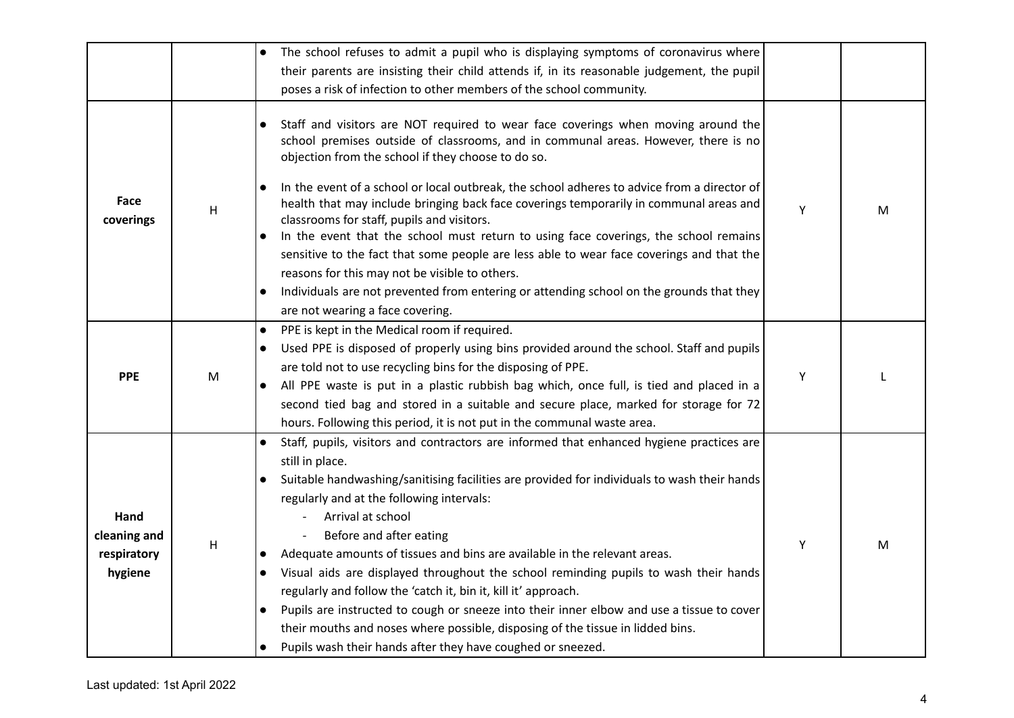|                                                |   | The school refuses to admit a pupil who is displaying symptoms of coronavirus where                                                                                                                                                                                                                                                                                                                                                                                                                                                                                                                                                                                                                                                                                                                                                                                  |   |   |
|------------------------------------------------|---|----------------------------------------------------------------------------------------------------------------------------------------------------------------------------------------------------------------------------------------------------------------------------------------------------------------------------------------------------------------------------------------------------------------------------------------------------------------------------------------------------------------------------------------------------------------------------------------------------------------------------------------------------------------------------------------------------------------------------------------------------------------------------------------------------------------------------------------------------------------------|---|---|
|                                                |   |                                                                                                                                                                                                                                                                                                                                                                                                                                                                                                                                                                                                                                                                                                                                                                                                                                                                      |   |   |
|                                                |   | their parents are insisting their child attends if, in its reasonable judgement, the pupil                                                                                                                                                                                                                                                                                                                                                                                                                                                                                                                                                                                                                                                                                                                                                                           |   |   |
|                                                |   | poses a risk of infection to other members of the school community.                                                                                                                                                                                                                                                                                                                                                                                                                                                                                                                                                                                                                                                                                                                                                                                                  |   |   |
| Face<br>coverings                              | H | Staff and visitors are NOT required to wear face coverings when moving around the<br>school premises outside of classrooms, and in communal areas. However, there is no<br>objection from the school if they choose to do so.<br>In the event of a school or local outbreak, the school adheres to advice from a director of<br>health that may include bringing back face coverings temporarily in communal areas and<br>classrooms for staff, pupils and visitors.<br>In the event that the school must return to using face coverings, the school remains<br>$\bullet$<br>sensitive to the fact that some people are less able to wear face coverings and that the<br>reasons for this may not be visible to others.<br>Individuals are not prevented from entering or attending school on the grounds that they<br>$\bullet$<br>are not wearing a face covering. | Y | M |
| <b>PPE</b>                                     | M | PPE is kept in the Medical room if required.<br>$\bullet$<br>Used PPE is disposed of properly using bins provided around the school. Staff and pupils<br>$\bullet$<br>are told not to use recycling bins for the disposing of PPE.<br>All PPE waste is put in a plastic rubbish bag which, once full, is tied and placed in a<br>second tied bag and stored in a suitable and secure place, marked for storage for 72<br>hours. Following this period, it is not put in the communal waste area.                                                                                                                                                                                                                                                                                                                                                                     | Υ |   |
| Hand<br>cleaning and<br>respiratory<br>hygiene | Н | Staff, pupils, visitors and contractors are informed that enhanced hygiene practices are<br>$\bullet$<br>still in place.<br>Suitable handwashing/sanitising facilities are provided for individuals to wash their hands<br>$\bullet$<br>regularly and at the following intervals:<br>Arrival at school<br>Before and after eating<br>Adequate amounts of tissues and bins are available in the relevant areas.<br>$\bullet$<br>Visual aids are displayed throughout the school reminding pupils to wash their hands<br>$\bullet$<br>regularly and follow the 'catch it, bin it, kill it' approach.<br>Pupils are instructed to cough or sneeze into their inner elbow and use a tissue to cover<br>$\bullet$<br>their mouths and noses where possible, disposing of the tissue in lidded bins.<br>Pupils wash their hands after they have coughed or sneezed.        | Υ | M |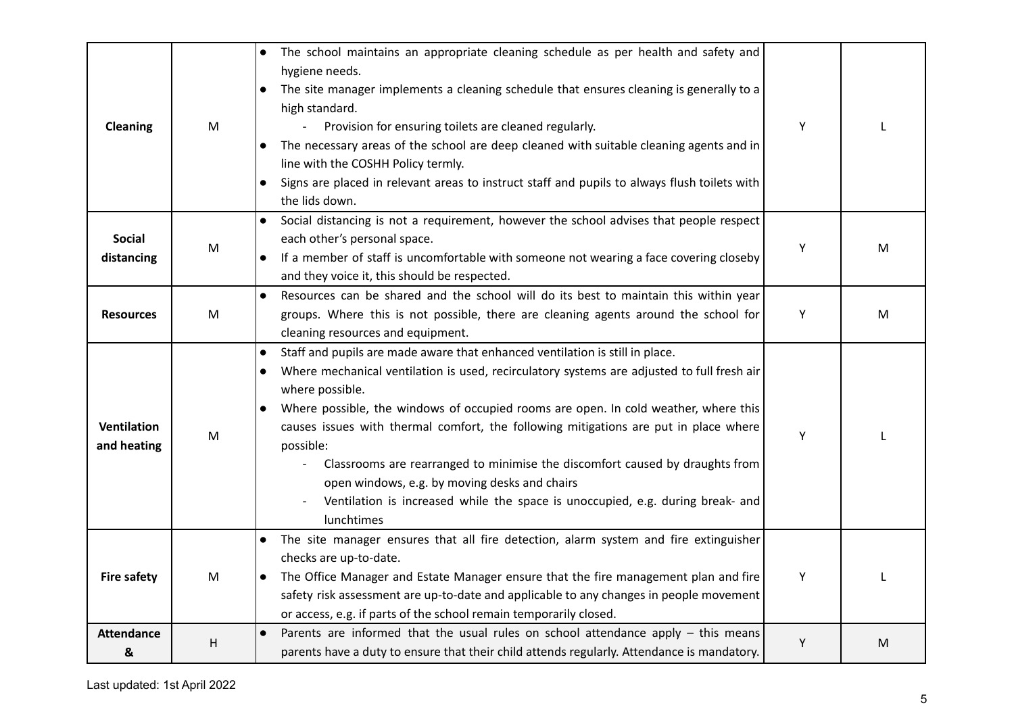| <b>Cleaning</b>             | M                                                                                                          | The school maintains an appropriate cleaning schedule as per health and safety and<br>$\bullet$<br>hygiene needs.<br>The site manager implements a cleaning schedule that ensures cleaning is generally to a<br>$\bullet$<br>high standard.<br>Provision for ensuring toilets are cleaned regularly.<br>The necessary areas of the school are deep cleaned with suitable cleaning agents and in<br>$\bullet$<br>line with the COSHH Policy termly.<br>Signs are placed in relevant areas to instruct staff and pupils to always flush toilets with<br>the lids down.                                                                                              | Y |   |
|-----------------------------|------------------------------------------------------------------------------------------------------------|-------------------------------------------------------------------------------------------------------------------------------------------------------------------------------------------------------------------------------------------------------------------------------------------------------------------------------------------------------------------------------------------------------------------------------------------------------------------------------------------------------------------------------------------------------------------------------------------------------------------------------------------------------------------|---|---|
| <b>Social</b><br>distancing | $\mathsf{M}% _{T}=\mathsf{M}_{T}\!\left( a,b\right) ,\ \mathsf{M}_{T}=\mathsf{M}_{T}\!\left( a,b\right) ,$ | Social distancing is not a requirement, however the school advises that people respect<br>$\bullet$<br>each other's personal space.<br>If a member of staff is uncomfortable with someone not wearing a face covering closeby<br>and they voice it, this should be respected.                                                                                                                                                                                                                                                                                                                                                                                     | Υ | M |
| <b>Resources</b>            | M                                                                                                          | Resources can be shared and the school will do its best to maintain this within year<br>groups. Where this is not possible, there are cleaning agents around the school for<br>cleaning resources and equipment.                                                                                                                                                                                                                                                                                                                                                                                                                                                  | Υ | M |
| Ventilation<br>and heating  | M                                                                                                          | Staff and pupils are made aware that enhanced ventilation is still in place.<br>$\bullet$<br>Where mechanical ventilation is used, recirculatory systems are adjusted to full fresh air<br>$\bullet$<br>where possible.<br>Where possible, the windows of occupied rooms are open. In cold weather, where this<br>$\bullet$<br>causes issues with thermal comfort, the following mitigations are put in place where<br>possible:<br>Classrooms are rearranged to minimise the discomfort caused by draughts from<br>open windows, e.g. by moving desks and chairs<br>Ventilation is increased while the space is unoccupied, e.g. during break- and<br>lunchtimes | Y |   |
| <b>Fire safety</b>          | M                                                                                                          | The site manager ensures that all fire detection, alarm system and fire extinguisher<br>checks are up-to-date.<br>The Office Manager and Estate Manager ensure that the fire management plan and fire<br>$\bullet$<br>safety risk assessment are up-to-date and applicable to any changes in people movement<br>or access, e.g. if parts of the school remain temporarily closed.                                                                                                                                                                                                                                                                                 | Υ |   |
| <b>Attendance</b><br>&      | H                                                                                                          | Parents are informed that the usual rules on school attendance apply - this means<br>$\bullet$<br>parents have a duty to ensure that their child attends regularly. Attendance is mandatory.                                                                                                                                                                                                                                                                                                                                                                                                                                                                      | Υ | M |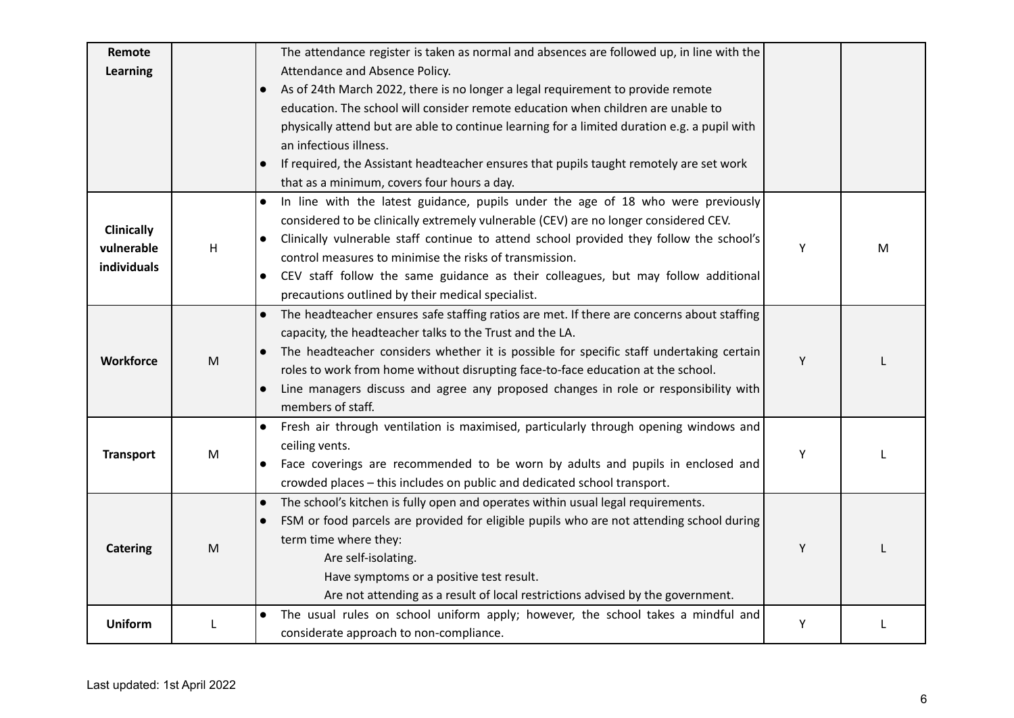| Remote            |   | The attendance register is taken as normal and absences are followed up, in line with the               |   |   |
|-------------------|---|---------------------------------------------------------------------------------------------------------|---|---|
| Learning          |   | Attendance and Absence Policy.                                                                          |   |   |
|                   |   | As of 24th March 2022, there is no longer a legal requirement to provide remote                         |   |   |
|                   |   | education. The school will consider remote education when children are unable to                        |   |   |
|                   |   | physically attend but are able to continue learning for a limited duration e.g. a pupil with            |   |   |
|                   |   | an infectious illness.                                                                                  |   |   |
|                   |   | If required, the Assistant headteacher ensures that pupils taught remotely are set work<br>$\bullet$    |   |   |
|                   |   | that as a minimum, covers four hours a day.                                                             |   |   |
|                   |   | In line with the latest guidance, pupils under the age of 18 who were previously<br>$\bullet$           |   |   |
|                   |   | considered to be clinically extremely vulnerable (CEV) are no longer considered CEV.                    |   |   |
| <b>Clinically</b> |   | Clinically vulnerable staff continue to attend school provided they follow the school's<br>$\bullet$    |   |   |
| vulnerable        | Η | control measures to minimise the risks of transmission.                                                 | Y | м |
| individuals       |   | CEV staff follow the same guidance as their colleagues, but may follow additional<br>$\bullet$          |   |   |
|                   |   | precautions outlined by their medical specialist.                                                       |   |   |
|                   |   | The headteacher ensures safe staffing ratios are met. If there are concerns about staffing<br>$\bullet$ |   |   |
|                   |   | capacity, the headteacher talks to the Trust and the LA.                                                |   |   |
|                   | M | The headteacher considers whether it is possible for specific staff undertaking certain<br>$\bullet$    | Y |   |
| <b>Workforce</b>  |   | roles to work from home without disrupting face-to-face education at the school.                        |   |   |
|                   |   | Line managers discuss and agree any proposed changes in role or responsibility with<br>$\bullet$        |   |   |
|                   |   | members of staff.                                                                                       |   |   |
|                   |   | Fresh air through ventilation is maximised, particularly through opening windows and<br>$\bullet$       |   |   |
| <b>Transport</b>  | M | ceiling vents.                                                                                          | Υ |   |
|                   |   | Face coverings are recommended to be worn by adults and pupils in enclosed and<br>$\bullet$             |   |   |
|                   |   | crowded places - this includes on public and dedicated school transport.                                |   |   |
|                   |   | The school's kitchen is fully open and operates within usual legal requirements.<br>$\bullet$           |   |   |
|                   |   | FSM or food parcels are provided for eligible pupils who are not attending school during<br>$\bullet$   |   |   |
| <b>Catering</b>   | M | term time where they:                                                                                   | Y |   |
|                   |   | Are self-isolating.                                                                                     |   |   |
|                   |   | Have symptoms or a positive test result.                                                                |   |   |
|                   |   | Are not attending as a result of local restrictions advised by the government.                          |   |   |
|                   |   | The usual rules on school uniform apply; however, the school takes a mindful and<br>$\bullet$           | Y |   |
| <b>Uniform</b>    |   | considerate approach to non-compliance.                                                                 |   |   |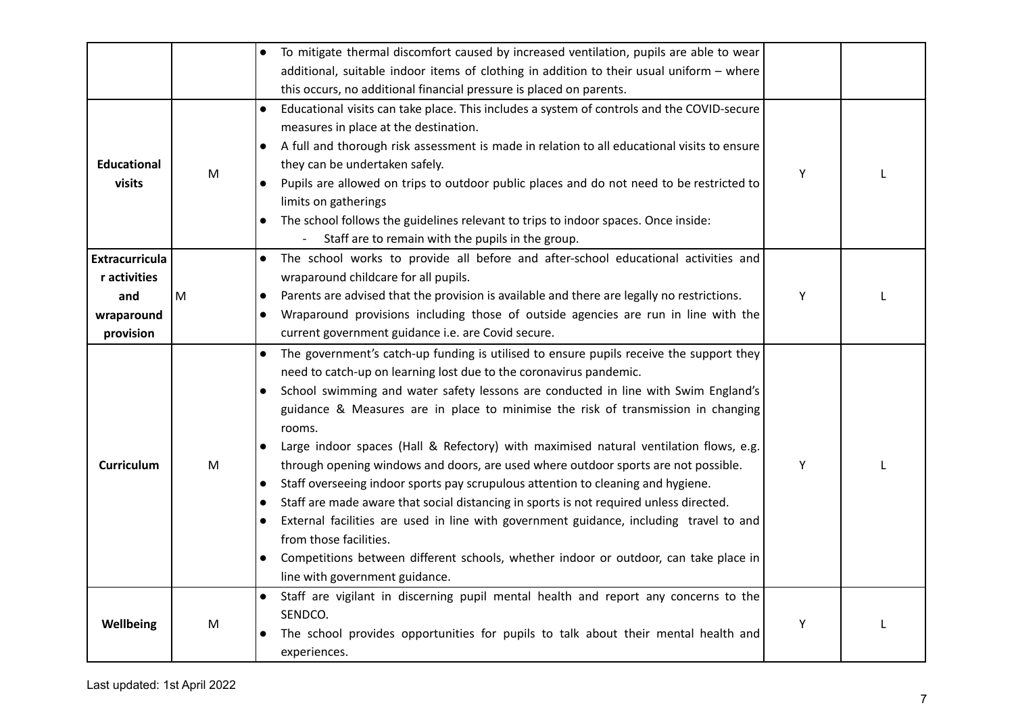|                              |   | To mitigate thermal discomfort caused by increased ventilation, pupils are able to wear                                                                                                                                                                                                                                                                                                                                                                                                                                                                                                                                                                                                                                                                                                                                                                                                                                                                                                                                        |   |  |
|------------------------------|---|--------------------------------------------------------------------------------------------------------------------------------------------------------------------------------------------------------------------------------------------------------------------------------------------------------------------------------------------------------------------------------------------------------------------------------------------------------------------------------------------------------------------------------------------------------------------------------------------------------------------------------------------------------------------------------------------------------------------------------------------------------------------------------------------------------------------------------------------------------------------------------------------------------------------------------------------------------------------------------------------------------------------------------|---|--|
|                              |   | additional, suitable indoor items of clothing in addition to their usual uniform - where                                                                                                                                                                                                                                                                                                                                                                                                                                                                                                                                                                                                                                                                                                                                                                                                                                                                                                                                       |   |  |
|                              |   | this occurs, no additional financial pressure is placed on parents.                                                                                                                                                                                                                                                                                                                                                                                                                                                                                                                                                                                                                                                                                                                                                                                                                                                                                                                                                            |   |  |
| <b>Educational</b><br>visits | M | Educational visits can take place. This includes a system of controls and the COVID-secure<br>$\bullet$<br>measures in place at the destination.<br>A full and thorough risk assessment is made in relation to all educational visits to ensure<br>$\bullet$<br>they can be undertaken safely.<br>Pupils are allowed on trips to outdoor public places and do not need to be restricted to<br>limits on gatherings<br>The school follows the guidelines relevant to trips to indoor spaces. Once inside:<br>$\bullet$<br>Staff are to remain with the pupils in the group.                                                                                                                                                                                                                                                                                                                                                                                                                                                     | Υ |  |
| <b>Extracurricula</b>        |   | The school works to provide all before and after-school educational activities and<br>$\bullet$                                                                                                                                                                                                                                                                                                                                                                                                                                                                                                                                                                                                                                                                                                                                                                                                                                                                                                                                |   |  |
| r activities                 |   | wraparound childcare for all pupils.                                                                                                                                                                                                                                                                                                                                                                                                                                                                                                                                                                                                                                                                                                                                                                                                                                                                                                                                                                                           |   |  |
| and                          | M | Parents are advised that the provision is available and there are legally no restrictions.<br>$\bullet$                                                                                                                                                                                                                                                                                                                                                                                                                                                                                                                                                                                                                                                                                                                                                                                                                                                                                                                        | Y |  |
| wraparound                   |   | Wraparound provisions including those of outside agencies are run in line with the<br>$\bullet$                                                                                                                                                                                                                                                                                                                                                                                                                                                                                                                                                                                                                                                                                                                                                                                                                                                                                                                                |   |  |
| provision                    |   | current government guidance i.e. are Covid secure.                                                                                                                                                                                                                                                                                                                                                                                                                                                                                                                                                                                                                                                                                                                                                                                                                                                                                                                                                                             |   |  |
| <b>Curriculum</b>            | M | The government's catch-up funding is utilised to ensure pupils receive the support they<br>$\bullet$<br>need to catch-up on learning lost due to the coronavirus pandemic.<br>School swimming and water safety lessons are conducted in line with Swim England's<br>$\bullet$<br>guidance & Measures are in place to minimise the risk of transmission in changing<br>rooms.<br>Large indoor spaces (Hall & Refectory) with maximised natural ventilation flows, e.g.<br>through opening windows and doors, are used where outdoor sports are not possible.<br>Staff overseeing indoor sports pay scrupulous attention to cleaning and hygiene.<br>$\bullet$<br>Staff are made aware that social distancing in sports is not required unless directed.<br>$\bullet$<br>External facilities are used in line with government guidance, including travel to and<br>$\bullet$<br>from those facilities.<br>Competitions between different schools, whether indoor or outdoor, can take place in<br>line with government guidance. | Y |  |
| Wellbeing                    | M | Staff are vigilant in discerning pupil mental health and report any concerns to the<br>SENDCO.<br>The school provides opportunities for pupils to talk about their mental health and<br>experiences.                                                                                                                                                                                                                                                                                                                                                                                                                                                                                                                                                                                                                                                                                                                                                                                                                           | Υ |  |